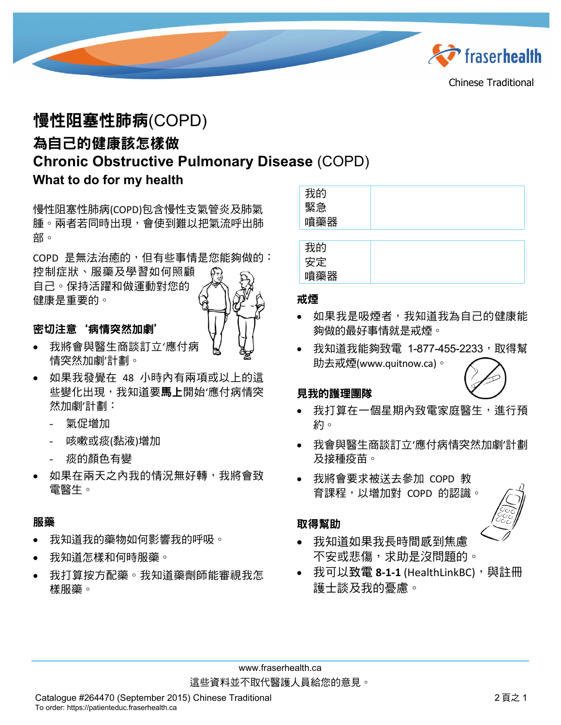

# 慢性阻塞性肺病(COPD) 為自己的健康該怎樣做 **Chronic Obstructive Pulmonary Disease** (COPD) **What to do for my health**

慢性阻塞性肺病(COPD)包含慢性支氣管炎及肺氣 腫。兩者若同時出現,會使到難以把氣流呼出肺 部。

COPD 是無法治癒的,但有些事情是您能夠做的: 控制症狀、服藥及學習如何照顧 自己。保持活躍和做運動對您的 健康是重要的。

### 密切注意'病情突然加劇'

- 我將會與醫生商談訂立'應付病 情突然加劇'計劃。
- 如果我發覺在 48 小時內有兩項或以上的這 些變化出現,我知道要**馬上**開始'應付病情突 然加劇'計劃:
	- 氣促增加
	- 咳嗽或痰(黏液)增加
	- 痰的顏色有變
- 如果在兩天之內我的情況無好轉,我將會致 電醫生。

#### 服藥

- 我知道我的藥物如何影響我的呼吸。
- 我知道怎樣和何時服藥。
- 我打算按方配藥。我知道藥劑師能審視我怎 樣服藥。

| 我的  |  |
|-----|--|
| 緊急  |  |
| 噴藥器 |  |

| 我的             |  |
|----------------|--|
| 安定             |  |
| 藥器<br>唄架<br>нн |  |

#### 戒煙

- 如果我是吸煙者,我知道我為自己的健康能 夠做的最好事情就是戒煙。
- 我知道我能夠致電 1-877-455-2233,取得幫 助去戒煙(www.quitnow.ca)。

### 見我的護理團隊

- 我打算在一個星期內致電家庭醫生,進行預 約。
- 我會與醫生商談訂立'應付病情突然加劇'計劃 及接種疫苗。
- 我將會要求被送去參加 COPD 教 育課程,以增加對 COPD 的認識。

#### 取得幫助



- 我知道如果我長時間感到焦慮 不安或悲傷,求助是沒問題的。
- 我可以致電 **8-1-1** (HealthLinkBC),與註冊 護士談及我的憂慮。

www.fraserhealth.ca 這些資料並不取代醫護人員給您的意見。